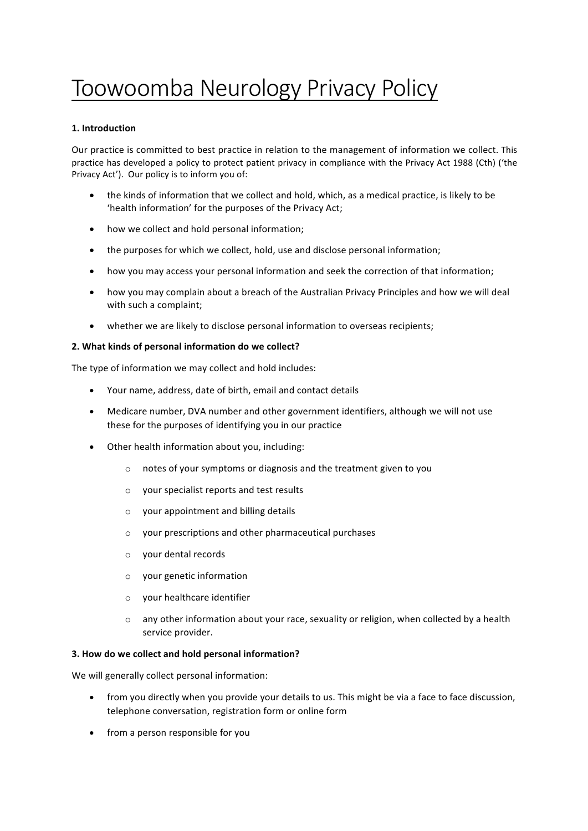# Toowoomba Neurology Privacy Policy

## **1. Introduction**

Our practice is committed to best practice in relation to the management of information we collect. This practice has developed a policy to protect patient privacy in compliance with the Privacy Act 1988 (Cth) ('the Privacy Act'). Our policy is to inform you of:

- the kinds of information that we collect and hold, which, as a medical practice, is likely to be 'health information' for the purposes of the Privacy Act;
- how we collect and hold personal information;
- the purposes for which we collect, hold, use and disclose personal information;
- how you may access your personal information and seek the correction of that information;
- how you may complain about a breach of the Australian Privacy Principles and how we will deal with such a complaint;
- whether we are likely to disclose personal information to overseas recipients;

## **2. What kinds of personal information do we collect?**

The type of information we may collect and hold includes:

- Your name, address, date of birth, email and contact details
- Medicare number, DVA number and other government identifiers, although we will not use these for the purposes of identifying you in our practice
- Other health information about you, including:
	- $\circ$  notes of your symptoms or diagnosis and the treatment given to you
	- $\circ$  your specialist reports and test results
	- $\circ$  your appointment and billing details
	- $\circ$  your prescriptions and other pharmaceutical purchases
	- o your dental records
	- $\circ$  your genetic information
	- $\circ$  your healthcare identifier
	- $\circ$  any other information about your race, sexuality or religion, when collected by a health service provider.

### **3. How do we collect and hold personal information?**

We will generally collect personal information:

- from you directly when you provide your details to us. This might be via a face to face discussion, telephone conversation, registration form or online form
- from a person responsible for you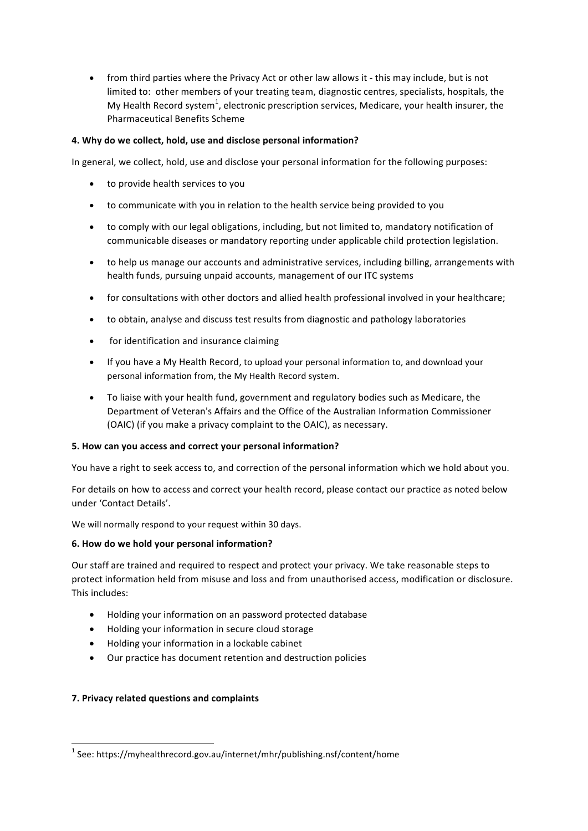• from third parties where the Privacy Act or other law allows it - this may include, but is not limited to: other members of your treating team, diagnostic centres, specialists, hospitals, the My Health Record system<sup>1</sup>, electronic prescription services, Medicare, your health insurer, the Pharmaceutical Benefits Scheme

## **4. Why do we collect, hold, use and disclose personal information?**

In general, we collect, hold, use and disclose your personal information for the following purposes:

- to provide health services to you
- to communicate with you in relation to the health service being provided to you
- to comply with our legal obligations, including, but not limited to, mandatory notification of communicable diseases or mandatory reporting under applicable child protection legislation.
- to help us manage our accounts and administrative services, including billing, arrangements with health funds, pursuing unpaid accounts, management of our ITC systems
- for consultations with other doctors and allied health professional involved in your healthcare;
- to obtain, analyse and discuss test results from diagnostic and pathology laboratories
- for identification and insurance claiming
- If you have a My Health Record, to upload your personal information to, and download your personal information from, the My Health Record system.
- To liaise with your health fund, government and regulatory bodies such as Medicare, the Department of Veteran's Affairs and the Office of the Australian Information Commissioner (OAIC) (if you make a privacy complaint to the OAIC), as necessary.

## **5. How can you access and correct your personal information?**

You have a right to seek access to, and correction of the personal information which we hold about you.

For details on how to access and correct your health record, please contact our practice as noted below under 'Contact Details'.

We will normally respond to your request within 30 days.

## **6. How do we hold your personal information?**

Our staff are trained and required to respect and protect your privacy. We take reasonable steps to protect information held from misuse and loss and from unauthorised access, modification or disclosure. This includes:

- Holding your information on an password protected database
- Holding your information in secure cloud storage
- $\bullet$  Holding your information in a lockable cabinet
- Our practice has document retention and destruction policies

## **7. Privacy related questions and complaints**

 $1$  See: https://myhealthrecord.gov.au/internet/mhr/publishing.nsf/content/home